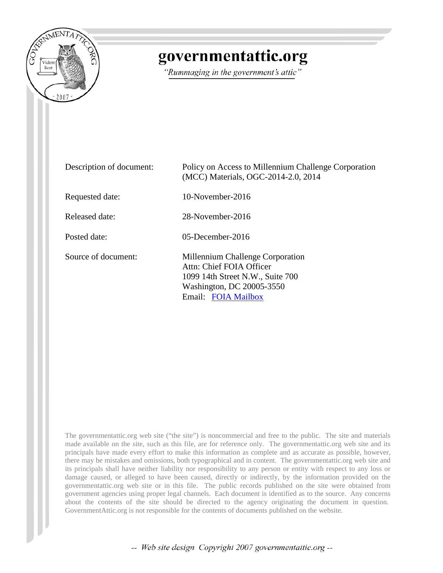

# governmentattic.org

"Rummaging in the government's attic"

| Description of document: | Policy on Access to Millennium Challenge Corporation<br>(MCC) Materials, OGC-2014-2.0, 2014                                                          |
|--------------------------|------------------------------------------------------------------------------------------------------------------------------------------------------|
| Requested date:          | $10$ -November-2016                                                                                                                                  |
| Released date:           | 28-November-2016                                                                                                                                     |
| Posted date:             | $05$ -December-2016                                                                                                                                  |
| Source of document:      | Millennium Challenge Corporation<br>Attn: Chief FOIA Officer<br>1099 14th Street N.W., Suite 700<br>Washington, DC 20005-3550<br>Email: FOIA Mailbox |

The governmentattic.org web site ("the site") is noncommercial and free to the public. The site and materials made available on the site, such as this file, are for reference only. The governmentattic.org web site and its principals have made every effort to make this information as complete and as accurate as possible, however, there may be mistakes and omissions, both typographical and in content. The governmentattic.org web site and its principals shall have neither liability nor responsibility to any person or entity with respect to any loss or damage caused, or alleged to have been caused, directly or indirectly, by the information provided on the governmentattic.org web site or in this file. The public records published on the site were obtained from government agencies using proper legal channels. Each document is identified as to the source. Any concerns about the contents of the site should be directed to the agency originating the document in question. GovernmentAttic.org is not responsible for the contents of documents published on the website.

-- Web site design Copyright 2007 governmentattic.org --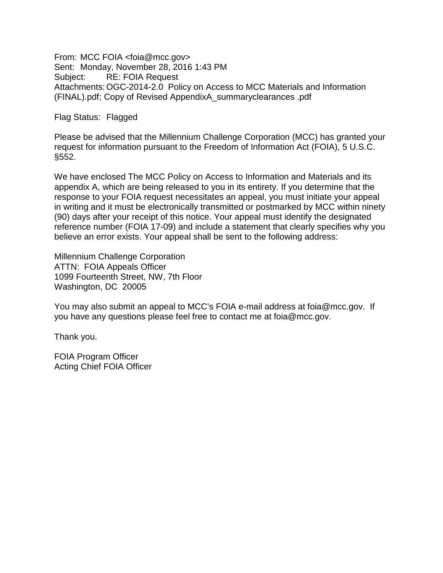From: MCC FOIA <foia@mcc.gov> Sent: Monday, November 28, 2016 1:43 PM Subject: RE: FOIA Request Attachments:OGC-2014-2.0 Policy on Access to MCC Materials and Information (FINAL).pdf; Copy of Revised AppendixA\_summaryclearances .pdf

Flag Status: Flagged

Please be advised that the Millennium Challenge Corporation (MCC) has granted your request for information pursuant to the Freedom of Information Act (FOIA), 5 U.S.C. §552.

We have enclosed The MCC Policy on Access to Information and Materials and its appendix A, which are being released to you in its entirety. If you determine that the response to your FOIA request necessitates an appeal, you must initiate your appeal in writing and it must be electronically transmitted or postmarked by MCC within ninety (90) days after your receipt of this notice. Your appeal must identify the designated reference number (FOIA 17-09) and include a statement that clearly specifies why you believe an error exists. Your appeal shall be sent to the following address:

Millennium Challenge Corporation ATTN: FOIA Appeals Officer 1099 Fourteenth Street, NW, 7th Floor Washington, DC 20005

You may also submit an appeal to MCC's FOIA e-mail address at foia@mcc.gov. If you have any questions please feel free to contact me at foia@mcc.gov.

Thank you.

FOIA Program Officer Acting Chief FOIA Officer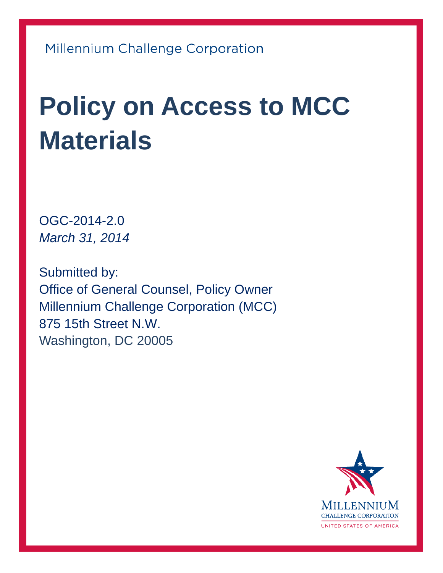# **Policy on Access to MCC Materials**

OGC-2014-2.0 *March 31, 2014*

Submitted by: Office of General Counsel, Policy Owner Millennium Challenge Corporation (MCC) 875 15th Street N.W. Washington, DC 20005

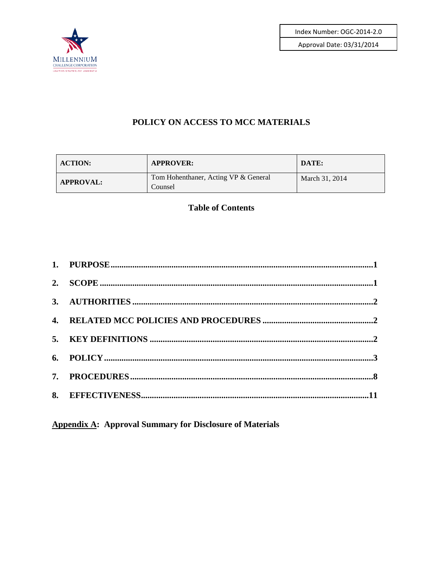Index Number: OGC-2014-2.0





#### POLICY ON ACCESS TO MCC MATERIALS

| <b>ACTION:</b>   | <b>APPROVER:</b>                                | DATE:          |
|------------------|-------------------------------------------------|----------------|
| <b>APPROVAL:</b> | Tom Hohenthaner, Acting VP & General<br>Counsel | March 31, 2014 |

#### **Table of Contents**

**Appendix A: Approval Summary for Disclosure of Materials**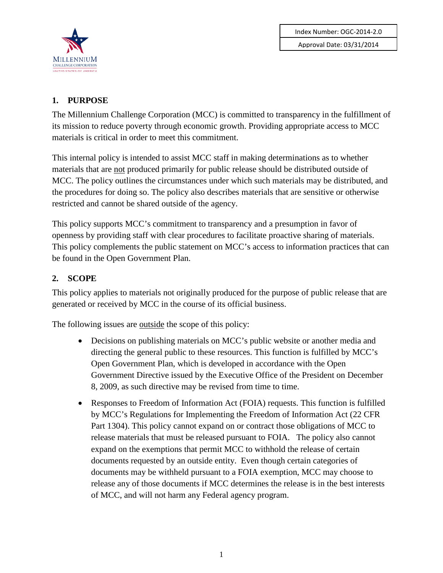

# <span id="page-4-0"></span>**1. PURPOSE**

The Millennium Challenge Corporation (MCC) is committed to transparency in the fulfillment of its mission to reduce poverty through economic growth. Providing appropriate access to MCC materials is critical in order to meet this commitment.

This internal policy is intended to assist MCC staff in making determinations as to whether materials that are not produced primarily for public release should be distributed outside of MCC. The policy outlines the circumstances under which such materials may be distributed, and the procedures for doing so. The policy also describes materials that are sensitive or otherwise restricted and cannot be shared outside of the agency.

This policy supports MCC's commitment to transparency and a presumption in favor of openness by providing staff with clear procedures to facilitate proactive sharing of materials. This policy complements the public statement on MCC's access to information practices that can be found in the Open Government Plan.

# <span id="page-4-1"></span>**2. SCOPE**

This policy applies to materials not originally produced for the purpose of public release that are generated or received by MCC in the course of its official business.

The following issues are <u>outside</u> the scope of this policy:

- Decisions on publishing materials on MCC's public website or another media and directing the general public to these resources. This function is fulfilled by MCC's Open Government Plan, which is developed in accordance with the Open Government Directive issued by the Executive Office of the President on December 8, 2009, as such directive may be revised from time to time.
- Responses to Freedom of Information Act (FOIA) requests. This function is fulfilled by MCC's Regulations for Implementing the Freedom of Information Act (22 CFR Part 1304). This policy cannot expand on or contract those obligations of MCC to release materials that must be released pursuant to FOIA. The policy also cannot expand on the exemptions that permit MCC to withhold the release of certain documents requested by an outside entity. Even though certain categories of documents may be withheld pursuant to a FOIA exemption, MCC may choose to release any of those documents if MCC determines the release is in the best interests of MCC, and will not harm any Federal agency program.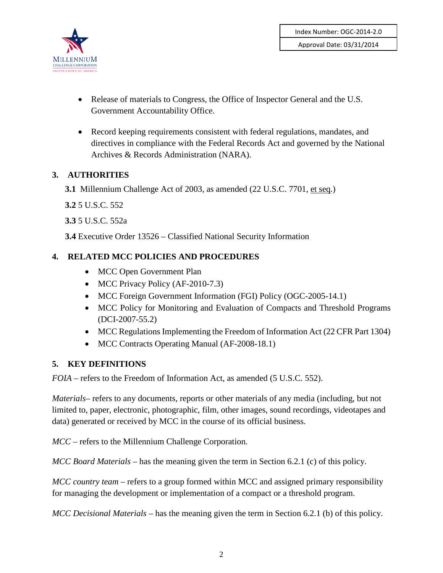

- Release of materials to Congress, the Office of Inspector General and the U.S. Government Accountability Office.
- Record keeping requirements consistent with federal regulations, mandates, and directives in compliance with the Federal Records Act and governed by the National Archives & Records Administration (NARA).

# <span id="page-5-0"></span>**3. AUTHORITIES**

**3.1** Millennium Challenge Act of 2003, as amended (22 U.S.C. 7701, et seq.)

**3.2** 5 U.S.C. 552

**3.3** 5 U.S.C. 552a

**3.4** Executive Order 13526 – Classified National Security Information

#### <span id="page-5-1"></span>**4. RELATED MCC POLICIES AND PROCEDURES**

- MCC Open Government Plan
- MCC Privacy Policy (AF-2010-7.3)
- MCC Foreign Government Information (FGI) Policy (OGC-2005-14.1)
- MCC Policy for Monitoring and Evaluation of Compacts and Threshold Programs (DCI-2007-55.2)
- MCC Regulations Implementing the Freedom of Information Act (22 CFR Part 1304)
- MCC Contracts Operating Manual (AF-2008-18.1)

#### <span id="page-5-2"></span>**5. KEY DEFINITIONS**

*FOIA* – refers to the Freedom of Information Act, as amended (5 U.S.C. 552).

*Materials–* refers to any documents, reports or other materials of any media (including, but not limited to, paper, electronic, photographic, film, other images, sound recordings, videotapes and data) generated or received by MCC in the course of its official business.

*MCC* – refers to the Millennium Challenge Corporation.

*MCC Board Materials* – has the meaning given the term in Section 6.2.1 (c) of this policy.

*MCC country team* – refers to a group formed within MCC and assigned primary responsibility for managing the development or implementation of a compact or a threshold program.

*MCC Decisional Materials* – has the meaning given the term in Section 6.2.1 (b) of this policy.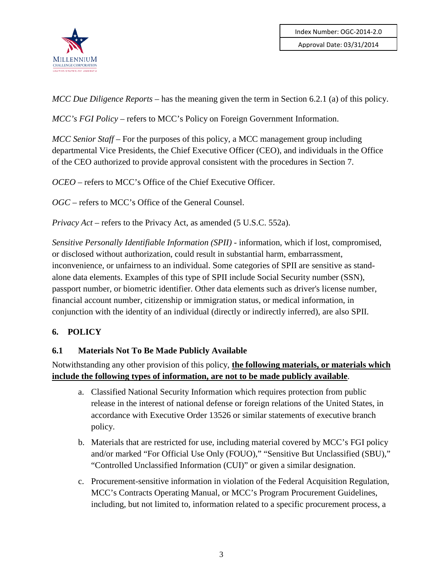

*MCC Due Diligence Reports* – has the meaning given the term in Section 6.2.1 (a) of this policy.

*MCC's FGI Policy* – refers to MCC's Policy on Foreign Government Information.

*MCC Senior Staff* – For the purposes of this policy, a MCC management group including departmental Vice Presidents, the Chief Executive Officer (CEO), and individuals in the Office of the CEO authorized to provide approval consistent with the procedures in Section 7.

*OCEO* – refers to MCC's Office of the Chief Executive Officer.

*OGC* – refers to MCC's Office of the General Counsel.

*Privacy Act* – refers to the Privacy Act, as amended (5 U.S.C. 552a).

*Sensitive Personally Identifiable Information (SPII)* - information, which if lost, compromised, or disclosed without authorization, could result in substantial harm, embarrassment, inconvenience, or unfairness to an individual. Some categories of SPII are sensitive as standalone data elements. Examples of this type of SPII include Social Security number (SSN), passport number, or biometric identifier. Other data elements such as driver's license number, financial account number, citizenship or immigration status, or medical information, in conjunction with the identity of an individual (directly or indirectly inferred), are also SPII.

#### <span id="page-6-0"></span>**6. POLICY**

#### **6.1 Materials Not To Be Made Publicly Available**

Notwithstanding any other provision of this policy, **the following materials, or materials which include the following types of information, are not to be made publicly available**.

- a. Classified National Security Information which requires protection from public release in the interest of national defense or foreign relations of the United States, in accordance with Executive Order 13526 or similar statements of executive branch policy.
- b. Materials that are restricted for use, including material covered by MCC's FGI policy and/or marked "For Official Use Only (FOUO)," "Sensitive But Unclassified (SBU)," "Controlled Unclassified Information (CUI)" or given a similar designation.
- c. Procurement-sensitive information in violation of the Federal Acquisition Regulation, MCC's Contracts Operating Manual, or MCC's Program Procurement Guidelines, including, but not limited to, information related to a specific procurement process, a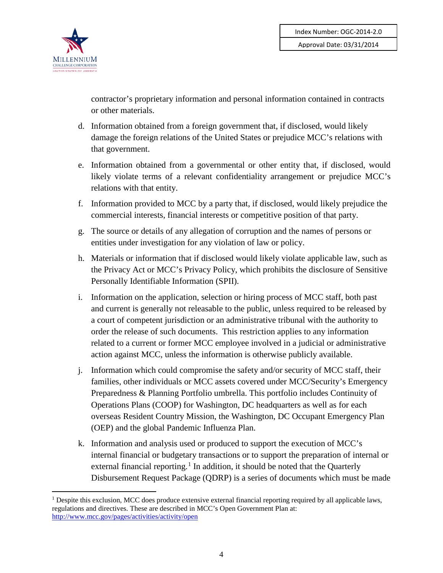

contractor's proprietary information and personal information contained in contracts or other materials.

- d. Information obtained from a foreign government that, if disclosed, would likely damage the foreign relations of the United States or prejudice MCC's relations with that government.
- e. Information obtained from a governmental or other entity that, if disclosed, would likely violate terms of a relevant confidentiality arrangement or prejudice MCC's relations with that entity.
- f. Information provided to MCC by a party that, if disclosed, would likely prejudice the commercial interests, financial interests or competitive position of that party.
- g. The source or details of any allegation of corruption and the names of persons or entities under investigation for any violation of law or policy.
- h. Materials or information that if disclosed would likely violate applicable law, such as the Privacy Act or MCC's Privacy Policy, which prohibits the disclosure of Sensitive Personally Identifiable Information (SPII).
- i. Information on the application, selection or hiring process of MCC staff, both past and current is generally not releasable to the public, unless required to be released by a court of competent jurisdiction or an administrative tribunal with the authority to order the release of such documents. This restriction applies to any information related to a current or former MCC employee involved in a judicial or administrative action against MCC, unless the information is otherwise publicly available.
- j. Information which could compromise the safety and/or security of MCC staff, their families, other individuals or MCC assets covered under MCC/Security's Emergency Preparedness & Planning Portfolio umbrella. This portfolio includes Continuity of Operations Plans (COOP) for Washington, DC headquarters as well as for each overseas Resident Country Mission, the Washington, DC Occupant Emergency Plan (OEP) and the global Pandemic Influenza Plan.
- k. Information and analysis used or produced to support the execution of MCC's internal financial or budgetary transactions or to support the preparation of internal or external financial reporting.<sup>[1](#page-7-0)</sup> In addition, it should be noted that the Quarterly Disbursement Request Package (QDRP) is a series of documents which must be made

<span id="page-7-0"></span><sup>&</sup>lt;sup>1</sup> Despite this exclusion, MCC does produce extensive external financial reporting required by all applicable laws, regulations and directives. These are described in MCC's Open Government Plan at: <http://www.mcc.gov/pages/activities/activity/open>  $\overline{a}$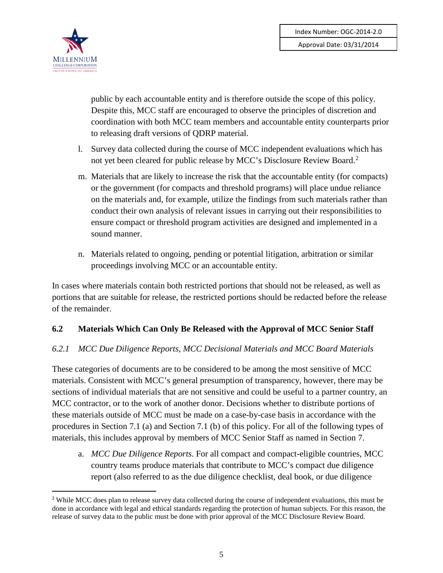

 $\overline{a}$ 

public by each accountable entity and is therefore outside the scope of this policy. Despite this, MCC staff are encouraged to observe the principles of discretion and coordination with both MCC team members and accountable entity counterparts prior to releasing draft versions of QDRP material.

- l. Survey data collected during the course of MCC independent evaluations which has not yet been cleared for public release by MCC's Disclosure Review Board.<sup>[2](#page-8-0)</sup>
- m. Materials that are likely to increase the risk that the accountable entity (for compacts) or the government (for compacts and threshold programs) will place undue reliance on the materials and, for example, utilize the findings from such materials rather than conduct their own analysis of relevant issues in carrying out their responsibilities to ensure compact or threshold program activities are designed and implemented in a sound manner.
- n. Materials related to ongoing, pending or potential litigation, arbitration or similar proceedings involving MCC or an accountable entity.

In cases where materials contain both restricted portions that should not be released, as well as portions that are suitable for release, the restricted portions should be redacted before the release of the remainder.

#### **6.2 Materials Which Can Only Be Released with the Approval of MCC Senior Staff**

#### *6.2.1 MCC Due Diligence Reports, MCC Decisional Materials and MCC Board Materials*

These categories of documents are to be considered to be among the most sensitive of MCC materials. Consistent with MCC's general presumption of transparency, however, there may be sections of individual materials that are not sensitive and could be useful to a partner country, an MCC contractor, or to the work of another donor. Decisions whether to distribute portions of these materials outside of MCC must be made on a case-by-case basis in accordance with the procedures in Section 7.1 (a) and Section 7.1 (b) of this policy. For all of the following types of materials, this includes approval by members of MCC Senior Staff as named in Section 7.

a. *MCC Due Diligence Reports*. For all compact and compact-eligible countries, MCC country teams produce materials that contribute to MCC's compact due diligence report (also referred to as the due diligence checklist, deal book, or due diligence

<span id="page-8-0"></span><sup>&</sup>lt;sup>2</sup> While MCC does plan to release survey data collected during the course of independent evaluations, this must be done in accordance with legal and ethical standards regarding the protection of human subjects. For this reason, the release of survey data to the public must be done with prior approval of the MCC Disclosure Review Board.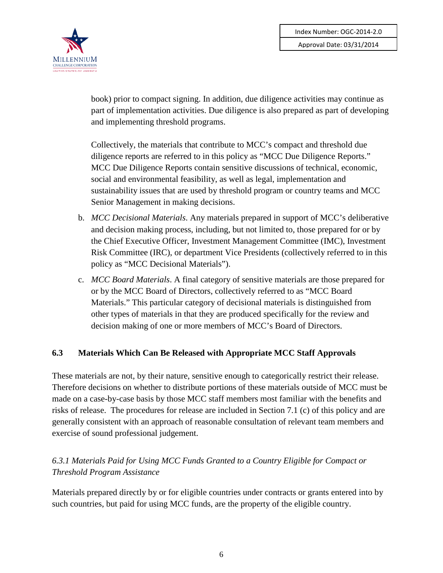

book) prior to compact signing. In addition, due diligence activities may continue as part of implementation activities. Due diligence is also prepared as part of developing and implementing threshold programs.

Collectively, the materials that contribute to MCC's compact and threshold due diligence reports are referred to in this policy as "MCC Due Diligence Reports." MCC Due Diligence Reports contain sensitive discussions of technical, economic, social and environmental feasibility, as well as legal, implementation and sustainability issues that are used by threshold program or country teams and MCC Senior Management in making decisions.

- b. *MCC Decisional Materials*. Any materials prepared in support of MCC's deliberative and decision making process, including, but not limited to, those prepared for or by the Chief Executive Officer, Investment Management Committee (IMC), Investment Risk Committee (IRC), or department Vice Presidents (collectively referred to in this policy as "MCC Decisional Materials").
- c. *MCC Board Materials*. A final category of sensitive materials are those prepared for or by the MCC Board of Directors, collectively referred to as "MCC Board Materials." This particular category of decisional materials is distinguished from other types of materials in that they are produced specifically for the review and decision making of one or more members of MCC's Board of Directors.

#### **6.3 Materials Which Can Be Released with Appropriate MCC Staff Approvals**

These materials are not, by their nature, sensitive enough to categorically restrict their release. Therefore decisions on whether to distribute portions of these materials outside of MCC must be made on a case-by-case basis by those MCC staff members most familiar with the benefits and risks of release. The procedures for release are included in Section 7.1 (c) of this policy and are generally consistent with an approach of reasonable consultation of relevant team members and exercise of sound professional judgement.

# *6.3.1 Materials Paid for Using MCC Funds Granted to a Country Eligible for Compact or Threshold Program Assistance*

Materials prepared directly by or for eligible countries under contracts or grants entered into by such countries, but paid for using MCC funds, are the property of the eligible country.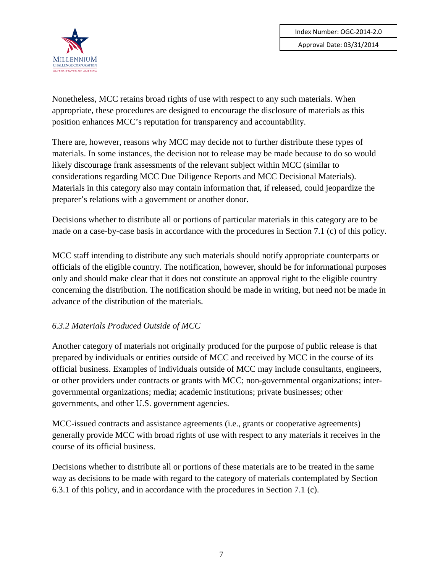

Nonetheless, MCC retains broad rights of use with respect to any such materials. When appropriate, these procedures are designed to encourage the disclosure of materials as this position enhances MCC's reputation for transparency and accountability.

There are, however, reasons why MCC may decide not to further distribute these types of materials. In some instances, the decision not to release may be made because to do so would likely discourage frank assessments of the relevant subject within MCC (similar to considerations regarding MCC Due Diligence Reports and MCC Decisional Materials). Materials in this category also may contain information that, if released, could jeopardize the preparer's relations with a government or another donor.

Decisions whether to distribute all or portions of particular materials in this category are to be made on a case-by-case basis in accordance with the procedures in Section 7.1 (c) of this policy.

MCC staff intending to distribute any such materials should notify appropriate counterparts or officials of the eligible country. The notification, however, should be for informational purposes only and should make clear that it does not constitute an approval right to the eligible country concerning the distribution. The notification should be made in writing, but need not be made in advance of the distribution of the materials.

#### *6.3.2 Materials Produced Outside of MCC*

Another category of materials not originally produced for the purpose of public release is that prepared by individuals or entities outside of MCC and received by MCC in the course of its official business. Examples of individuals outside of MCC may include consultants, engineers, or other providers under contracts or grants with MCC; non-governmental organizations; intergovernmental organizations; media; academic institutions; private businesses; other governments, and other U.S. government agencies.

MCC-issued contracts and assistance agreements (i.e., grants or cooperative agreements) generally provide MCC with broad rights of use with respect to any materials it receives in the course of its official business.

Decisions whether to distribute all or portions of these materials are to be treated in the same way as decisions to be made with regard to the category of materials contemplated by Section 6.3.1 of this policy, and in accordance with the procedures in Section 7.1 (c).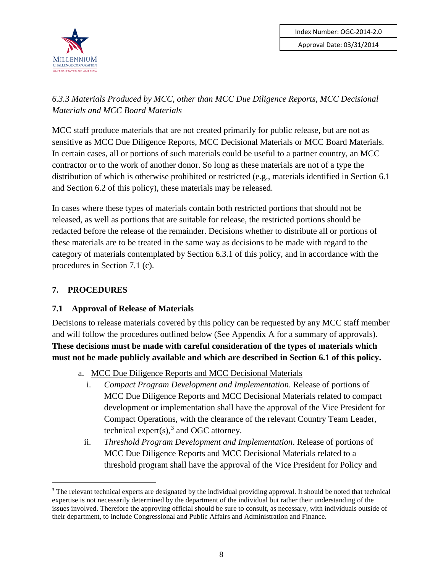

# *6.3.3 Materials Produced by MCC, other than MCC Due Diligence Reports, MCC Decisional Materials and MCC Board Materials*

MCC staff produce materials that are not created primarily for public release, but are not as sensitive as MCC Due Diligence Reports, MCC Decisional Materials or MCC Board Materials. In certain cases, all or portions of such materials could be useful to a partner country, an MCC contractor or to the work of another donor. So long as these materials are not of a type the distribution of which is otherwise prohibited or restricted (e.g., materials identified in Section 6.1 and Section 6.2 of this policy), these materials may be released.

In cases where these types of materials contain both restricted portions that should not be released, as well as portions that are suitable for release, the restricted portions should be redacted before the release of the remainder. Decisions whether to distribute all or portions of these materials are to be treated in the same way as decisions to be made with regard to the category of materials contemplated by Section 6.3.1 of this policy, and in accordance with the procedures in Section 7.1 (c).

# <span id="page-11-0"></span>**7. PROCEDURES**

#### **7.1 Approval of Release of Materials**

Decisions to release materials covered by this policy can be requested by any MCC staff member and will follow the procedures outlined below (See Appendix A for a summary of approvals). **These decisions must be made with careful consideration of the types of materials which must not be made publicly available and which are described in Section 6.1 of this policy.** 

- a. MCC Due Diligence Reports and MCC Decisional Materials
	- i. *Compact Program Development and Implementation*. Release of portions of MCC Due Diligence Reports and MCC Decisional Materials related to compact development or implementation shall have the approval of the Vice President for Compact Operations, with the clearance of the relevant Country Team Leader, technical expert(s),<sup>[3](#page-11-1)</sup> and OGC attorney.
	- ii. *Threshold Program Development and Implementation*. Release of portions of MCC Due Diligence Reports and MCC Decisional Materials related to a threshold program shall have the approval of the Vice President for Policy and

<span id="page-11-1"></span><sup>&</sup>lt;sup>3</sup> The relevant technical experts are designated by the individual providing approval. It should be noted that technical expertise is not necessarily determined by the department of the individual but rather their understanding of the issues involved. Therefore the approving official should be sure to consult, as necessary, with individuals outside of their department, to include Congressional and Public Affairs and Administration and Finance.  $\overline{a}$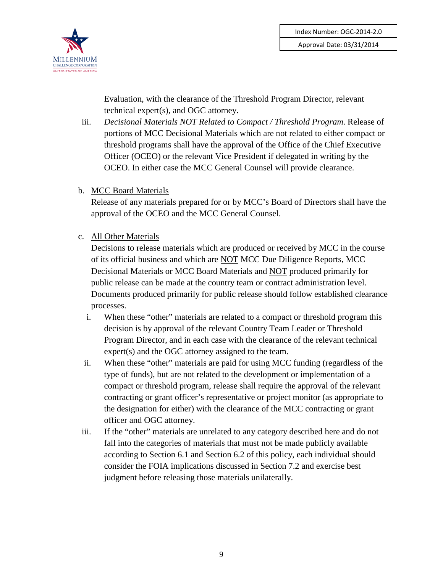

Evaluation, with the clearance of the Threshold Program Director, relevant technical expert(s), and OGC attorney.

- iii. *Decisional Materials NOT Related to Compact / Threshold Program*. Release of portions of MCC Decisional Materials which are not related to either compact or threshold programs shall have the approval of the Office of the Chief Executive Officer (OCEO) or the relevant Vice President if delegated in writing by the OCEO. In either case the MCC General Counsel will provide clearance.
- b. MCC Board Materials

Release of any materials prepared for or by MCC's Board of Directors shall have the approval of the OCEO and the MCC General Counsel.

c. All Other Materials

Decisions to release materials which are produced or received by MCC in the course of its official business and which are NOT MCC Due Diligence Reports, MCC Decisional Materials or MCC Board Materials and NOT produced primarily for public release can be made at the country team or contract administration level. Documents produced primarily for public release should follow established clearance processes.

- i. When these "other" materials are related to a compact or threshold program this decision is by approval of the relevant Country Team Leader or Threshold Program Director, and in each case with the clearance of the relevant technical expert(s) and the OGC attorney assigned to the team.
- ii. When these "other" materials are paid for using MCC funding (regardless of the type of funds), but are not related to the development or implementation of a compact or threshold program, release shall require the approval of the relevant contracting or grant officer's representative or project monitor (as appropriate to the designation for either) with the clearance of the MCC contracting or grant officer and OGC attorney.
- iii. If the "other" materials are unrelated to any category described here and do not fall into the categories of materials that must not be made publicly available according to Section 6.1 and Section 6.2 of this policy, each individual should consider the FOIA implications discussed in Section 7.2 and exercise best judgment before releasing those materials unilaterally.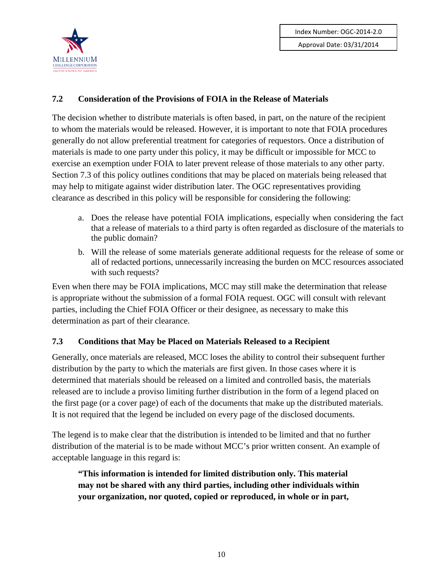

# **7.2 Consideration of the Provisions of FOIA in the Release of Materials**

The decision whether to distribute materials is often based, in part, on the nature of the recipient to whom the materials would be released. However, it is important to note that FOIA procedures generally do not allow preferential treatment for categories of requestors. Once a distribution of materials is made to one party under this policy, it may be difficult or impossible for MCC to exercise an exemption under FOIA to later prevent release of those materials to any other party. Section 7.3 of this policy outlines conditions that may be placed on materials being released that may help to mitigate against wider distribution later. The OGC representatives providing clearance as described in this policy will be responsible for considering the following:

- a. Does the release have potential FOIA implications, especially when considering the fact that a release of materials to a third party is often regarded as disclosure of the materials to the public domain?
- b. Will the release of some materials generate additional requests for the release of some or all of redacted portions, unnecessarily increasing the burden on MCC resources associated with such requests?

Even when there may be FOIA implications, MCC may still make the determination that release is appropriate without the submission of a formal FOIA request. OGC will consult with relevant parties, including the Chief FOIA Officer or their designee, as necessary to make this determination as part of their clearance.

# **7.3 Conditions that May be Placed on Materials Released to a Recipient**

Generally, once materials are released, MCC loses the ability to control their subsequent further distribution by the party to which the materials are first given. In those cases where it is determined that materials should be released on a limited and controlled basis, the materials released are to include a proviso limiting further distribution in the form of a legend placed on the first page (or a cover page) of each of the documents that make up the distributed materials. It is not required that the legend be included on every page of the disclosed documents.

The legend is to make clear that the distribution is intended to be limited and that no further distribution of the material is to be made without MCC's prior written consent. An example of acceptable language in this regard is:

**"This information is intended for limited distribution only. This material may not be shared with any third parties, including other individuals within your organization, nor quoted, copied or reproduced, in whole or in part,**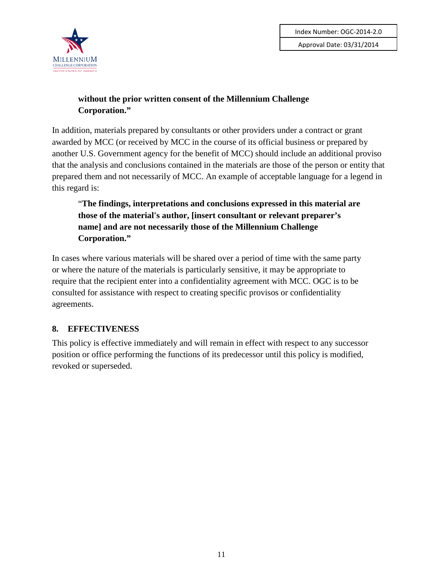

### **without the prior written consent of the Millennium Challenge Corporation."**

In addition, materials prepared by consultants or other providers under a contract or grant awarded by MCC (or received by MCC in the course of its official business or prepared by another U.S. Government agency for the benefit of MCC) should include an additional proviso that the analysis and conclusions contained in the materials are those of the person or entity that prepared them and not necessarily of MCC. An example of acceptable language for a legend in this regard is:

"**The findings, interpretations and conclusions expressed in this material are those of the material's author, [insert consultant or relevant preparer's name] and are not necessarily those of the Millennium Challenge Corporation."**

In cases where various materials will be shared over a period of time with the same party or where the nature of the materials is particularly sensitive, it may be appropriate to require that the recipient enter into a confidentiality agreement with MCC. OGC is to be consulted for assistance with respect to creating specific provisos or confidentiality agreements.

# <span id="page-14-0"></span>**8. EFFECTIVENESS**

This policy is effective immediately and will remain in effect with respect to any successor position or office performing the functions of its predecessor until this policy is modified, revoked or superseded.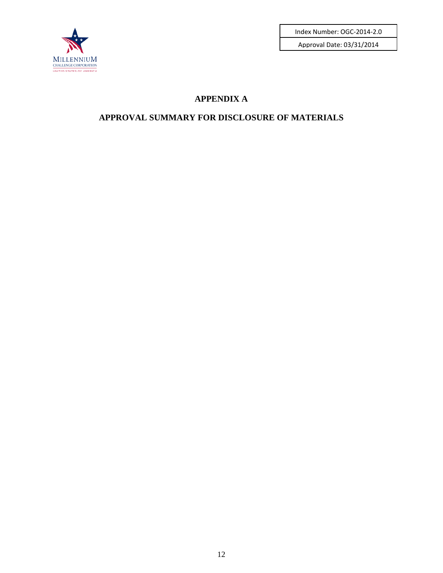

Index Number: OGC-2014-2.0

Approval Date: 03/31/2014

# **APPENDIX A**

# **APPROVAL SUMMARY FOR DISCLOSURE OF MATERIALS**